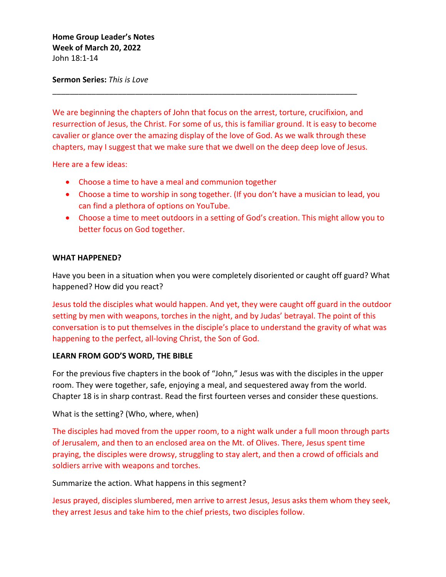# **Home Group Leader's Notes Week of March 20, 2022** John 18:1-14

# **Sermon Series:** *This is Love*

We are beginning the chapters of John that focus on the arrest, torture, crucifixion, and resurrection of Jesus, the Christ. For some of us, this is familiar ground. It is easy to become cavalier or glance over the amazing display of the love of God. As we walk through these chapters, may I suggest that we make sure that we dwell on the deep deep love of Jesus.

\_\_\_\_\_\_\_\_\_\_\_\_\_\_\_\_\_\_\_\_\_\_\_\_\_\_\_\_\_\_\_\_\_\_\_\_\_\_\_\_\_\_\_\_\_\_\_\_\_\_\_\_\_\_\_\_\_\_\_\_\_\_\_\_\_\_\_\_\_\_

Here are a few ideas:

- Choose a time to have a meal and communion together
- Choose a time to worship in song together. (If you don't have a musician to lead, you can find a plethora of options on YouTube.
- Choose a time to meet outdoors in a setting of God's creation. This might allow you to better focus on God together.

### **WHAT HAPPENED?**

Have you been in a situation when you were completely disoriented or caught off guard? What happened? How did you react?

Jesus told the disciples what would happen. And yet, they were caught off guard in the outdoor setting by men with weapons, torches in the night, and by Judas' betrayal. The point of this conversation is to put themselves in the disciple's place to understand the gravity of what was happening to the perfect, all-loving Christ, the Son of God.

# **LEARN FROM GOD'S WORD, THE BIBLE**

For the previous five chapters in the book of "John," Jesus was with the disciples in the upper room. They were together, safe, enjoying a meal, and sequestered away from the world. Chapter 18 is in sharp contrast. Read the first fourteen verses and consider these questions.

What is the setting? (Who, where, when)

The disciples had moved from the upper room, to a night walk under a full moon through parts of Jerusalem, and then to an enclosed area on the Mt. of Olives. There, Jesus spent time praying, the disciples were drowsy, struggling to stay alert, and then a crowd of officials and soldiers arrive with weapons and torches.

Summarize the action. What happens in this segment?

Jesus prayed, disciples slumbered, men arrive to arrest Jesus, Jesus asks them whom they seek, they arrest Jesus and take him to the chief priests, two disciples follow.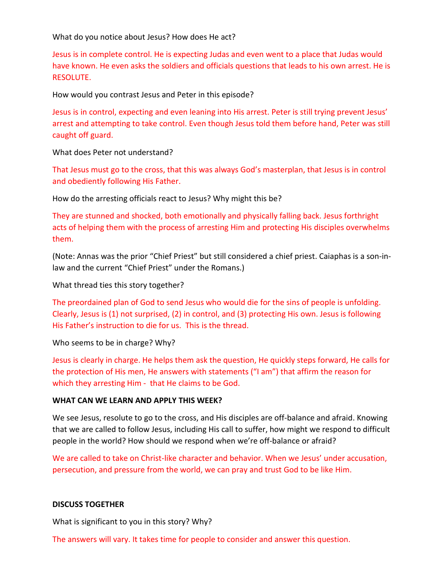What do you notice about Jesus? How does He act?

Jesus is in complete control. He is expecting Judas and even went to a place that Judas would have known. He even asks the soldiers and officials questions that leads to his own arrest. He is RESOLUTE.

How would you contrast Jesus and Peter in this episode?

Jesus is in control, expecting and even leaning into His arrest. Peter is still trying prevent Jesus' arrest and attempting to take control. Even though Jesus told them before hand, Peter was still caught off guard.

What does Peter not understand?

That Jesus must go to the cross, that this was always God's masterplan, that Jesus is in control and obediently following His Father.

How do the arresting officials react to Jesus? Why might this be?

They are stunned and shocked, both emotionally and physically falling back. Jesus forthright acts of helping them with the process of arresting Him and protecting His disciples overwhelms them.

(Note: Annas was the prior "Chief Priest" but still considered a chief priest. Caiaphas is a son-inlaw and the current "Chief Priest" under the Romans.)

What thread ties this story together?

The preordained plan of God to send Jesus who would die for the sins of people is unfolding. Clearly, Jesus is (1) not surprised, (2) in control, and (3) protecting His own. Jesus is following His Father's instruction to die for us. This is the thread.

Who seems to be in charge? Why?

Jesus is clearly in charge. He helps them ask the question, He quickly steps forward, He calls for the protection of His men, He answers with statements ("I am") that affirm the reason for which they arresting Him - that He claims to be God.

#### **WHAT CAN WE LEARN AND APPLY THIS WEEK?**

We see Jesus, resolute to go to the cross, and His disciples are off-balance and afraid. Knowing that we are called to follow Jesus, including His call to suffer, how might we respond to difficult people in the world? How should we respond when we're off-balance or afraid?

We are called to take on Christ-like character and behavior. When we Jesus' under accusation, persecution, and pressure from the world, we can pray and trust God to be like Him.

#### **DISCUSS TOGETHER**

What is significant to you in this story? Why?

The answers will vary. It takes time for people to consider and answer this question.